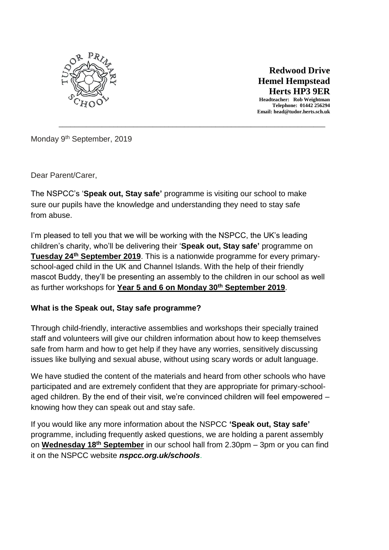

 **Redwood Drive Hemel Hempstead Herts HP3 9ER Headteacher: Rob Weightman Telephone: 01442 256294 Email: head@tudor.herts.sch.uk**

Monday 9<sup>th</sup> September, 2019

Dear Parent/Carer,

The NSPCC's '**Speak out, Stay safe'** programme is visiting our school to make sure our pupils have the knowledge and understanding they need to stay safe from abuse.

\_\_\_\_\_\_\_\_\_\_\_\_\_\_\_\_\_\_\_\_\_\_\_\_\_\_\_\_\_\_\_\_\_\_\_\_\_\_\_\_\_\_\_\_\_\_\_\_\_\_\_\_\_\_\_\_\_\_\_\_\_\_\_\_\_\_\_\_

I'm pleased to tell you that we will be working with the NSPCC, the UK's leading children's charity, who'll be delivering their '**Speak out, Stay safe'** programme on **Tuesday 24th September 2019**. This is a nationwide programme for every primaryschool-aged child in the UK and Channel Islands. With the help of their friendly mascot Buddy, they'll be presenting an assembly to the children in our school as well as further workshops for **Year 5 and 6 on Monday 30th September 2019**.

## **What is the Speak out, Stay safe programme?**

Through child-friendly, interactive assemblies and workshops their specially trained staff and volunteers will give our children information about how to keep themselves safe from harm and how to get help if they have any worries, sensitively discussing issues like bullying and sexual abuse, without using scary words or adult language.

We have studied the content of the materials and heard from other schools who have participated and are extremely confident that they are appropriate for primary-schoolaged children. By the end of their visit, we're convinced children will feel empowered – knowing how they can speak out and stay safe.

If you would like any more information about the NSPCC **'Speak out, Stay safe'** programme, including frequently asked questions, we are holding a parent assembly on **Wednesday 18th September** in our school hall from 2.30pm – 3pm or you can find it on the NSPCC website *nspcc.org.uk/schools*.